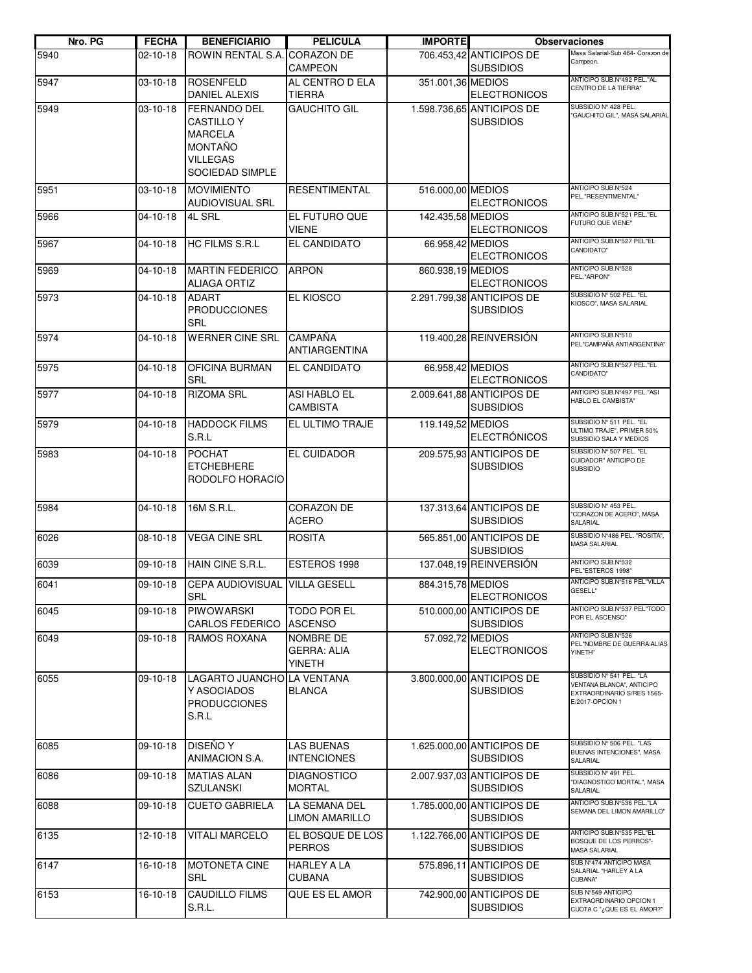| Nro. PG | <b>FECHA</b>   | <b>BENEFICIARIO</b>                                                                                                       | <b>PELICULA</b>                                  | <b>IMPORTE</b>    |                                               | <b>Observaciones</b>                                                                                   |
|---------|----------------|---------------------------------------------------------------------------------------------------------------------------|--------------------------------------------------|-------------------|-----------------------------------------------|--------------------------------------------------------------------------------------------------------|
| 5940    | 02-10-18       | <b>ROWIN RENTAL S.A.</b>                                                                                                  | <b>CORAZON DE</b><br><b>CAMPEON</b>              |                   | 706.453,42 ANTICIPOS DE<br><b>SUBSIDIOS</b>   | Masa Salarial-Sub 464- Corazon de<br>Campeon.                                                          |
| 5947    | 03-10-18       | <b>ROSENFELD</b><br>DANIEL ALEXIS                                                                                         | AL CENTRO D ELA<br><b>TIERRA</b>                 | 351.001,36 MEDIOS | <b>ELECTRONICOS</b>                           | ANTICIPO SUB.Nº492 PEL."AL<br>CENTRO DE LA TIERRA"                                                     |
| 5949    | 03-10-18       | <b>FERNANDO DEL</b><br><b>CASTILLO Y</b><br><b>MARCELA</b><br><b>MONTAÑO</b><br><b>VILLEGAS</b><br><b>SOCIEDAD SIMPLE</b> | <b>GAUCHITO GIL</b>                              |                   | 1.598.736,65 ANTICIPOS DE<br><b>SUBSIDIOS</b> | SUBSIDIO Nº 428 PEL.<br>"GAUCHITO GIL", MASA SALARIAL                                                  |
| 5951    | 03-10-18       | <b>MOVIMIENTO</b><br>AUDIOVISUAL SRL                                                                                      | <b>RESENTIMENTAL</b>                             | 516.000,00 MEDIOS | <b>ELECTRONICOS</b>                           | ANTICIPO SUB.N°524<br>PEL."RESENTIMENTAL"                                                              |
| 5966    | 04-10-18       | 4L SRL                                                                                                                    | EL FUTURO QUE<br><b>VIENE</b>                    | 142.435,58 MEDIOS | <b>ELECTRONICOS</b>                           | ANTICIPO SUB.Nº521 PEL."EL<br>FUTURO QUE VIENE"                                                        |
| 5967    | 04-10-18       | <b>HC FILMS S.R.L</b>                                                                                                     | EL CANDIDATO                                     | 66.958,42 MEDIOS  | <b>ELECTRONICOS</b>                           | ANTICIPO SUB.Nº527 PEL"EL<br>CANDIDATO"                                                                |
| 5969    | 04-10-18       | <b>MARTIN FEDERICO</b><br><b>ALIAGA ORTIZ</b>                                                                             | <b>ARPON</b>                                     | 860.938,19 MEDIOS | <b>ELECTRONICOS</b>                           | ANTICIPO SUB.Nº528<br>PEL."ARPON"                                                                      |
| 5973    | $04 - 10 - 18$ | <b>ADART</b><br><b>PRODUCCIONES</b><br><b>SRL</b>                                                                         | <b>EL KIOSCO</b>                                 |                   | 2.291.799.38 ANTICIPOS DE<br><b>SUBSIDIOS</b> | SUBSIDIO Nº 502 PEL. "EL<br>KIOSCO", MASA SALARIAL                                                     |
| 5974    | 04-10-18       | <b>WERNER CINE SRL</b>                                                                                                    | <b>CAMPAÑA</b><br>ANTIARGENTINA                  |                   | 119.400,28 REINVERSIÓN                        | ANTICIPO SUB.Nº510<br>PEL"CAMPAÑA ANTIARGENTINA"                                                       |
| 5975    | 04-10-18       | OFICINA BURMAN<br><b>SRL</b>                                                                                              | <b>EL CANDIDATO</b>                              | 66.958,42 MEDIOS  | <b>ELECTRONICOS</b>                           | ANTICIPO SUB.Nº527 PEL."EL<br>CANDIDATO"                                                               |
| 5977    | 04-10-18       | <b>RIZOMA SRL</b>                                                                                                         | <b>ASI HABLO EL</b><br><b>CAMBISTA</b>           |                   | 2.009.641,88 ANTICIPOS DE<br><b>SUBSIDIOS</b> | ANTICIPO SUB.Nº497 PEL."ASI<br>HABLO EL CAMBISTA"                                                      |
| 5979    | 04-10-18       | <b>HADDOCK FILMS</b><br>S.R.L                                                                                             | EL ULTIMO TRAJE                                  | 119.149,52 MEDIOS | <b>ELECTRÓNICOS</b>                           | SUBSIDIO Nº 511 PEL. "EL<br>ULTIMO TRAJE", PRIMER 50%<br>SUBSIDIO SALA Y MEDIOS                        |
| 5983    | 04-10-18       | <b>POCHAT</b><br><b>ETCHEBHERE</b><br>RODOLFO HORACIO                                                                     | EL CUIDADOR                                      |                   | 209.575,93 ANTICIPOS DE<br><b>SUBSIDIOS</b>   | SUBSIDIO Nº 507 PEL. "EL<br>CUIDADOR" ANTICIPO DE<br><b>SUBSIDIO</b>                                   |
| 5984    | 04-10-18       | 16M S.R.L.                                                                                                                | <b>CORAZON DE</b><br><b>ACERO</b>                |                   | 137.313,64 ANTICIPOS DE<br><b>SUBSIDIOS</b>   | SUBSIDIO Nº 453 PEL.<br>"CORAZON DE ACERO", MASA<br>SALARIAL                                           |
| 6026    | 08-10-18       | <b>VEGA CINE SRL</b>                                                                                                      | <b>ROSITA</b>                                    |                   | 565.851,00 ANTICIPOS DE<br><b>SUBSIDIOS</b>   | SUBSIDIO Nº486 PEL. "ROSITA",<br><b>MASA SALARIAL</b>                                                  |
| 6039    | 09-10-18       | HAIN CINE S.R.L.                                                                                                          | ESTEROS 1998                                     |                   | 137.048,19 REINVERSIÓN                        | ANTICIPO SUB.N°532<br>PEL"ESTEROS 1998"                                                                |
| 6041    |                | 09-10-18 CEPA AUDIOVISUAL VILLA GESELL<br><b>SRL</b>                                                                      |                                                  | 884.315,78 MEDIOS | <b>ELECTRONICOS</b>                           | ANTICIPO SUB.Nº516 PEL"VILLA<br>GESELL"                                                                |
| 6045    | 09-10-18       | <b>PIWOWARSKI</b><br><b>CARLOS FEDERICO</b>                                                                               | <b>TODO POR EL</b><br><b>ASCENSO</b>             |                   | 510.000.00 ANTICIPOS DE<br><b>SUBSIDIOS</b>   | ANTICIPO SUB.Nº537 PEL"TODO<br>POR EL ASCENSO"                                                         |
| 6049    | 09-10-18       | <b>RAMOS ROXANA</b>                                                                                                       | NOMBRE DE<br><b>GERRA: ALIA</b><br><b>YINETH</b> | 57.092,72 MEDIOS  | <b>ELECTRONICOS</b>                           | ANTICIPO SUB.N°526<br>PEL"NOMBRE DE GUERRA: ALIAS<br>YINETH"                                           |
| 6055    | 09-10-18       | LAGARTO JUANCHO LA VENTANA<br>Y ASOCIADOS<br><b>PRODUCCIONES</b><br>S.R.L                                                 | <b>BLANCA</b>                                    |                   | 3.800.000,00 ANTICIPOS DE<br><b>SUBSIDIOS</b> | SUBSIDIO Nº 541 PEL. "LA<br>VENTANA BLANCA", ANTICIPO<br>EXTRAORDINARIO S/RES 1565-<br>E/2017-OPCION 1 |
| 6085    | 09-10-18       | DISEÑO Y<br>ANIMACION S.A.                                                                                                | <b>LAS BUENAS</b><br><b>INTENCIONES</b>          |                   | 1.625.000,00 ANTICIPOS DE<br><b>SUBSIDIOS</b> | SUBSIDIO Nº 506 PEL. "LAS<br>BUENAS INTENCIONES", MASA<br>SALARIAL                                     |
| 6086    | 09-10-18       | <b>MATIAS ALAN</b><br><b>SZULANSKI</b>                                                                                    | <b>DIAGNOSTICO</b><br><b>MORTAL</b>              |                   | 2.007.937.03 ANTICIPOS DE<br><b>SUBSIDIOS</b> | SUBSIDIO Nº 491 PEL.<br>"DIAGNOSTICO MORTAL", MASA<br>SALARIAL                                         |
| 6088    | 09-10-18       | <b>CUETO GABRIELA</b>                                                                                                     | LA SEMANA DEL<br><b>LIMON AMARILLO</b>           |                   | 1.785.000,00 ANTICIPOS DE<br><b>SUBSIDIOS</b> | ANTICIPO SUB.Nº536 PEL."LA<br>SEMANA DEL LIMON AMARILLO"                                               |
| 6135    | 12-10-18       | <b>VITALI MARCELO</b>                                                                                                     | EL BOSQUE DE LOS<br><b>PERROS</b>                |                   | 1.122.766,00 ANTICIPOS DE<br><b>SUBSIDIOS</b> | ANTICIPO SUB.Nº535 PEL"EL<br>BOSQUE DE LOS PERROS"-<br><b>MASA SALARIAL</b>                            |
| 6147    | 16-10-18       | <b>MOTONETA CINE</b><br>SRL                                                                                               | <b>HARLEY A LA</b><br><b>CUBANA</b>              |                   | 575.896,11 ANTICIPOS DE<br><b>SUBSIDIOS</b>   | SUB Nº474 ANTICIPO MASA<br>SALARIAL "HARLEY A LA<br>CUBANA"                                            |
| 6153    | 16-10-18       | <b>CAUDILLO FILMS</b><br>S.R.L.                                                                                           | QUE ES EL AMOR                                   |                   | 742.900,00 ANTICIPOS DE<br><b>SUBSIDIOS</b>   | SUB N°549 ANTICIPO<br>EXTRAORDINARIO OPCION 1<br>CUOTA C "¿QUE ES EL AMOR?"                            |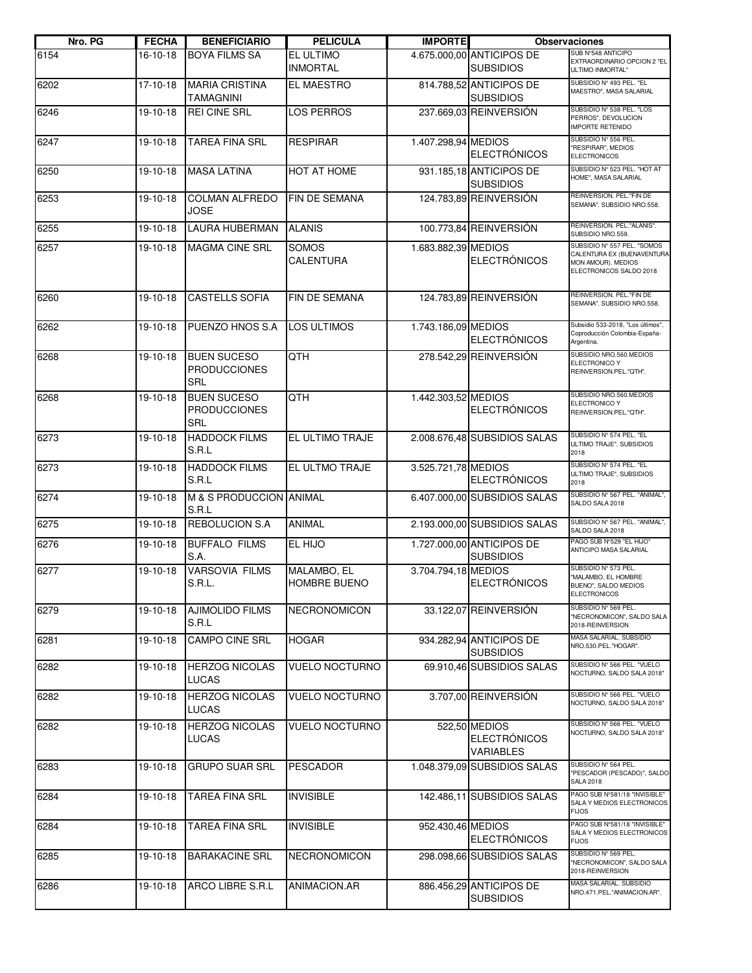| Nro. PG | <b>FECHA</b> | <b>BENEFICIARIO</b>                                     | <b>PELICULA</b>              | <b>IMPORTE</b>      |                                                   | <b>Observaciones</b>                                                                                       |
|---------|--------------|---------------------------------------------------------|------------------------------|---------------------|---------------------------------------------------|------------------------------------------------------------------------------------------------------------|
| 6154    | 16-10-18     | <b>BOYA FILMS SA</b>                                    | EL ULTIMO<br><b>INMORTAL</b> |                     | 4.675.000,00 ANTICIPOS DE<br><b>SUBSIDIOS</b>     | SUB N°548 ANTICIPO<br>EXTRAORDINARIO OPCION 2 "EL<br>ULTIMO INMORTAL"                                      |
| 6202    | 17-10-18     | <b>MARIA CRISTINA</b><br>TAMAGNINI                      | EL MAESTRO                   |                     | 814.788,52 ANTICIPOS DE<br><b>SUBSIDIOS</b>       | SUBSIDIO Nº 493 PEL. "EL<br>MAESTRO", MASA SALARIAL                                                        |
| 6246    | 19-10-18     | <b>REI CINE SRL</b>                                     | <b>LOS PERROS</b>            |                     | 237.669,03 REINVERSIÓN                            | SUBSIDIO Nº 538 PEL. "LOS<br>PERROS", DEVOLUCION<br><b>IMPORTE RETENIDO</b>                                |
| 6247    | 19-10-18     | <b>TAREA FINA SRL</b>                                   | <b>RESPIRAR</b>              | 1.407.298,94 MEDIOS | <b>ELECTRÓNICOS</b>                               | SUBSIDIO Nº 556 PEL.<br>"RESPIRAR", MEDIOS<br><b>ELECTRONICOS</b>                                          |
| 6250    | 19-10-18     | <b>MASA LATINA</b>                                      | HOT AT HOME                  |                     | 931.185,18 ANTICIPOS DE<br><b>SUBSIDIOS</b>       | SUBSIDIO Nº 523 PEL. "HOT AT<br>HOME", MASA SALARIAL                                                       |
| 6253    | 19-10-18     | <b>COLMAN ALFREDO</b><br>JOSE                           | FIN DE SEMANA                |                     | 124.783,89 REINVERSIÓN                            | REINVERSION. PEL."FIN DE<br>SEMANA". SUBSIDIO NRO.558.                                                     |
| 6255    | 19-10-18     | <b>LAURA HUBERMAN</b>                                   | <b>ALANIS</b>                |                     | 100.773,84 REINVERSIÓN                            | REINVERSION. PEL."ALANIS".<br>SUBSIDIO NRO.559.                                                            |
| 6257    | 19-10-18     | <b>MAGMA CINE SRL</b>                                   | <b>SOMOS</b><br>CALENTURA    | 1.683.882,39 MEDIOS | <b>ELECTRÓNICOS</b>                               | SUBSIDIO Nº 557 PEL. "SOMOS<br>CALENTURA EX (BUENAVENTURA<br>MON AMOUR). MEDIOS<br>ELECTRONICOS SALDO 2018 |
| 6260    | 19-10-18     | <b>CASTELLS SOFIA</b>                                   | FIN DE SEMANA                |                     | 124.783,89 REINVERSIÓN                            | REINVERSION. PEL."FIN DE<br>SEMANA". SUBSIDIO NRO.558.                                                     |
| 6262    | 19-10-18     | PUENZO HNOS S.A                                         | <b>LOS ULTIMOS</b>           | 1.743.186,09 MEDIOS | <b>ELECTRÓNICOS</b>                               | Subsidio 533-2018, "Los últimos",<br>Coproducción Colombia-España-<br>Argentina.                           |
| 6268    | 19-10-18     | <b>BUEN SUCESO</b><br><b>PRODUCCIONES</b><br>SRL        | QTH                          |                     | 278.542,29 REINVERSIÓN                            | SUBSIDIO NRO.560.MEDIOS<br>ELECTRONICO Y<br>REINVERSION.PEL."QTH".                                         |
| 6268    | 19-10-18     | <b>BUEN SUCESO</b><br><b>PRODUCCIONES</b><br><b>SRL</b> | QTH                          | 1.442.303,52 MEDIOS | <b>ELECTRÓNICOS</b>                               | SUBSIDIO NRO.560.MEDIOS<br>ELECTRONICO Y<br>REINVERSION.PEL."QTH".                                         |
| 6273    | 19-10-18     | <b>HADDOCK FILMS</b><br>S.R.L                           | EL ULTIMO TRAJE              |                     | 2.008.676,48 SUBSIDIOS SALAS                      | SUBSIDIO Nº 574 PEL. "EL<br>ULTIMO TRAJE", SUBSIDIOS<br>2018                                               |
| 6273    | 19-10-18     | <b>HADDOCK FILMS</b><br>S.R.L                           | EL ULTMO TRAJE               | 3.525.721,78 MEDIOS | <b>ELECTRÓNICOS</b>                               | SUBSIDIO Nº 574 PEL. "EL<br>ULTIMO TRAJE", SUBSIDIOS<br>2018                                               |
| 6274    | 19-10-18     | M & S PRODUCCION ANIMAL<br>S.R.L                        |                              |                     | 6.407.000,00 SUBSIDIOS SALAS                      | SUBSIDIO Nº 567 PEL. "ANIMAL",<br>SALDO SALA 2018                                                          |
| 6275    | 19-10-18     | REBOLUCION S.A                                          | ANIMAL                       |                     | 2.193.000,00 SUBSIDIOS SALAS                      | SUBSIDIO Nº 567 PEL. "ANIMAL".<br>SALDO SALA 2018                                                          |
| 6276    | 19-10-18     | <b>BUFFALO FILMS</b><br>S.A.                            | EL HIJO                      |                     | 1.727.000,00 ANTICIPOS DE<br><b>SUBSIDIOS</b>     | PAGO SUB Nº529 "EL HIJO"<br>ANTICIPO MASA SALARIAL                                                         |
| 6277    | 19-10-18     | <b>VARSOVIA FILMS</b><br>S.R.L.                         | MALAMBO, EL<br>HOMBRE BUENO  | 3.704.794,18 MEDIOS | <b>ELECTRÓNICOS</b>                               | SUBSIDIO Nº 573 PEL.<br>"MALAMBO, EL HOMBRE<br>BUENO", SALDO MEDIOS<br><b>ELECTRONICOS</b>                 |
| 6279    | 19-10-18     | <b>AJIMOLIDO FILMS</b><br>S.R.L                         | NECRONOMICON                 |                     | 33.122,07 REINVERSIÓN                             | SUBSIDIO Nº 569 PEL.<br>"NECRONOMICON", SALDO SALA<br>2018-REINVERSION                                     |
| 6281    | 19-10-18     | <b>CAMPO CINE SRL</b>                                   | <b>HOGAR</b>                 |                     | 934.282,94 ANTICIPOS DE<br><b>SUBSIDIOS</b>       | MASA SALARIAL. SUBSIDIO<br>NRO.530.PEL."HOGAR".                                                            |
| 6282    | 19-10-18     | <b>HERZOG NICOLAS</b><br><b>LUCAS</b>                   | <b>VUELO NOCTURNO</b>        |                     | 69.910,46 SUBSIDIOS SALAS                         | SUBSIDIO Nº 566 PEL. "VUELO<br>NOCTURNO, SALDO SALA 2018"                                                  |
| 6282    | 19-10-18     | <b>HERZOG NICOLAS</b><br><b>LUCAS</b>                   | <b>VUELO NOCTURNO</b>        |                     | 3.707,00 REINVERSIÓN                              | SUBSIDIO Nº 566 PEL. "VUELO<br>NOCTURNO, SALDO SALA 2018"                                                  |
| 6282    | 19-10-18     | <b>HERZOG NICOLAS</b><br>LUCAS                          | <b>VUELO NOCTURNO</b>        |                     | 522,50 MEDIOS<br><b>ELECTRÓNICOS</b><br>VARIABLES | SUBSIDIO Nº 566 PEL. "VUELO<br>NOCTURNO, SALDO SALA 2018"                                                  |
| 6283    | 19-10-18     | GRUPO SUAR SRL                                          | <b>PESCADOR</b>              |                     | 1.048.379,09 SUBSIDIOS SALAS                      | SUBSIDIO Nº 564 PEL.<br>"PESCADOR (PESCADO)", SALDO<br><b>SALA 2018</b>                                    |
| 6284    | 19-10-18     | TAREA FINA SRL                                          | <b>INVISIBLE</b>             |                     | 142.486,11 SUBSIDIOS SALAS                        | PAGO SUB N°581/18 "INVISIBLE"<br>SALA Y MEDIOS ELECTRONICOS<br><b>FIJOS</b>                                |
| 6284    | 19-10-18     | TAREA FINA SRL                                          | <b>INVISIBLE</b>             | 952.430,46 MEDIOS   | <b>ELECTRÓNICOS</b>                               | PAGO SUB N°581/18 "INVISIBLE"<br>SALA Y MEDIOS ELECTRONICOS<br><b>FIJOS</b>                                |
| 6285    | 19-10-18     | <b>BARAKACINE SRL</b>                                   | <b>NECRONOMICON</b>          |                     | 298.098,66 SUBSIDIOS SALAS                        | SUBSIDIO Nº 569 PEL.<br>"NECRONOMICON", SALDO SALA<br>2018-REINVERSION                                     |
| 6286    | 19-10-18     | ARCO LIBRE S.R.L                                        | ANIMACION.AR                 |                     | 886.456,29 ANTICIPOS DE<br><b>SUBSIDIOS</b>       | MASA SALARIAL. SUBSIDIO<br>NRO.471.PEL."ANIMACION.AR".                                                     |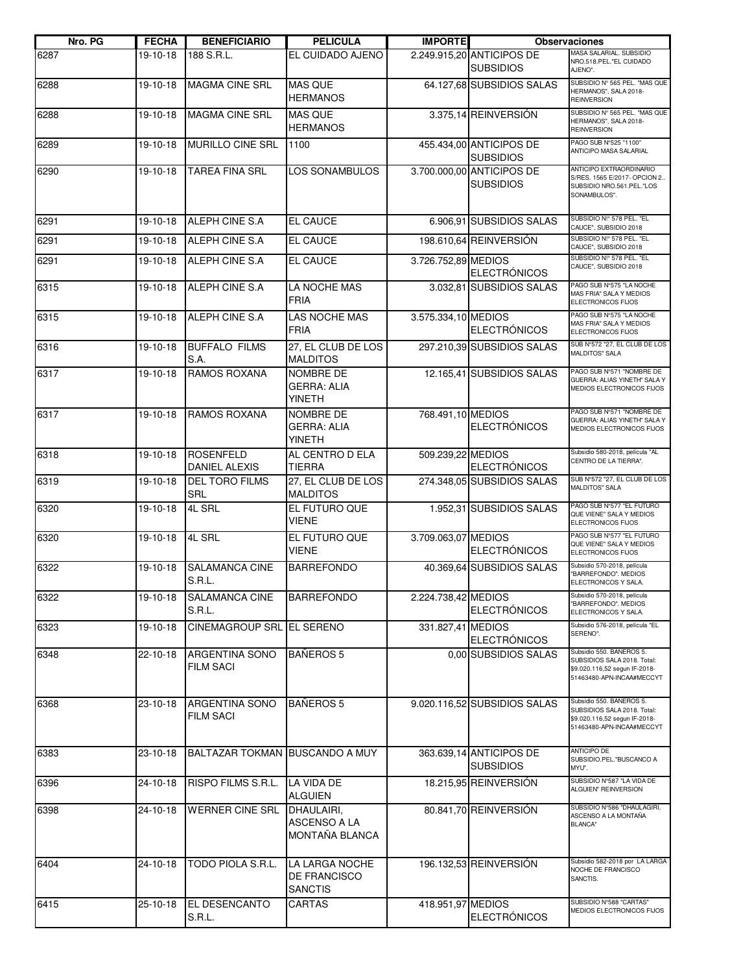| Nro. PG | <b>FECHA</b> | <b>BENEFICIARIO</b>                       | <b>PELICULA</b>                                     | <b>IMPORTE</b>      |                                               | <b>Observaciones</b>                                                                                                  |
|---------|--------------|-------------------------------------------|-----------------------------------------------------|---------------------|-----------------------------------------------|-----------------------------------------------------------------------------------------------------------------------|
| 6287    | 19-10-18     | 188 S.R.L.                                | EL CUIDADO AJENO                                    |                     | 2.249.915.20 ANTICIPOS DE<br><b>SUBSIDIOS</b> | MASA SALARIAL. SUBSIDIO<br>NRO.518.PEL."EL CUIDADO<br>AJENO".                                                         |
| 6288    | 19-10-18     | <b>MAGMA CINE SRL</b>                     | <b>MAS QUE</b><br><b>HERMANOS</b>                   |                     | 64.127,68 SUBSIDIOS SALAS                     | SUBSIDIO Nº 565 PEL. "MAS QUE<br>HERMANOS", SALA 2018-<br><b>REINVERSION</b>                                          |
| 6288    | 19-10-18     | <b>MAGMA CINE SRL</b>                     | <b>MAS QUE</b><br><b>HERMANOS</b>                   |                     | 3.375,14 REINVERSIÓN                          | SUBSIDIO Nº 565 PEL. "MAS QUE<br>HERMANOS", SALA 2018-<br><b>REINVERSION</b>                                          |
| 6289    | 19-10-18     | MURILLO CINE SRL                          | 1100                                                |                     | 455.434,00 ANTICIPOS DE<br><b>SUBSIDIOS</b>   | PAGO SUB N°525 "1100"<br>ANTICIPO MASA SALARIAL                                                                       |
| 6290    | 19-10-18     | <b>TAREA FINA SRL</b>                     | LOS SONAMBULOS                                      |                     | 3.700.000.00 ANTICIPOS DE<br><b>SUBSIDIOS</b> | ANTICIPO EXTRAORDINARIO<br>S/RES. 1565 E/2017- OPCION 2<br>SUBSIDIO NRO.561.PEL."LOS<br>SONAMBULOS".                  |
| 6291    | 19-10-18     | ALEPH CINE S.A                            | EL CAUCE                                            |                     | 6.906,91 SUBSIDIOS SALAS                      | SUBSIDIO N!º 578 PEL. "EL<br>CAUCE", SUBSIDIO 2018                                                                    |
| 6291    | 19-10-18     | ALEPH CINE S.A                            | <b>EL CAUCE</b>                                     |                     | 198.610,64 REINVERSIÓN                        | SUBSIDIO N!º 578 PEL. "EL<br>CAUCE", SUBSIDIO 2018                                                                    |
| 6291    | 19-10-18     | ALEPH CINE S.A                            | <b>EL CAUCE</b>                                     | 3.726.752,89 MEDIOS | <b>ELECTRÓNICOS</b>                           | SUBSIDIO N!º 578 PEL. "EL<br>CAUCE", SUBSIDIO 2018                                                                    |
| 6315    | 19-10-18     | ALEPH CINE S.A.                           | LA NOCHE MAS<br><b>FRIA</b>                         |                     | 3.032,81 SUBSIDIOS SALAS                      | PAGO SUB Nº575 "LA NOCHE<br>MAS FRIA" SALA Y MEDIOS<br>ELECTRONICOS FIJOS                                             |
| 6315    | 19-10-18     | ALEPH CINE S.A                            | LAS NOCHE MAS<br><b>FRIA</b>                        | 3.575.334,10 MEDIOS | <b>ELECTRÓNICOS</b>                           | PAGO SUB Nº575 "LA NOCHE<br>MAS FRIA" SALA Y MEDIOS<br>ELECTRONICOS FIJOS                                             |
| 6316    | 19-10-18     | <b>BUFFALO FILMS</b><br>S.A.              | 27, EL CLUB DE LOS<br><b>MALDITOS</b>               |                     | 297.210,39 SUBSIDIOS SALAS                    | SUB Nº572 "27, EL CLUB DE LOS<br><b>MALDITOS" SALA</b>                                                                |
| 6317    | 19-10-18     | <b>RAMOS ROXANA</b>                       | NOMBRE DE<br><b>GERRA: ALIA</b><br><b>YINETH</b>    |                     | 12.165,41 SUBSIDIOS SALAS                     | PAGO SUB Nº571 "NOMBRE DE<br>GUERRA: ALIAS YINETH" SALA Y<br>MEDIOS ELECTRONICOS FIJOS                                |
| 6317    | 19-10-18     | <b>RAMOS ROXANA</b>                       | NOMBRE DE<br><b>GERRA: ALIA</b><br><b>YINETH</b>    | 768.491,10 MEDIOS   | <b>ELECTRÓNICOS</b>                           | PAGO SUB Nº571 "NOMBRE DE<br>GUERRA: ALIAS YINETH" SALA Y<br>MEDIOS ELECTRONICOS FIJOS                                |
| 6318    | 19-10-18     | <b>ROSENFELD</b><br><b>DANIEL ALEXIS</b>  | AL CENTRO D ELA<br><b>TIERRA</b>                    | 509.239,22 MEDIOS   | <b>ELECTRÓNICOS</b>                           | Subsidio 580-2018, película "AL<br>CENTRO DE LA TIERRA".                                                              |
| 6319    | 19-10-18     | <b>DEL TORO FILMS</b><br>SRL              | 27, EL CLUB DE LOS<br><b>MALDITOS</b>               |                     | 274.348,05 SUBSIDIOS SALAS                    | SUB Nº572 "27, EL CLUB DE LOS<br><b>MALDITOS" SALA</b>                                                                |
| 6320    | 19-10-18     | 4L SRL                                    | EL FUTURO QUE<br><b>VIENE</b>                       |                     | 1.952,31 SUBSIDIOS SALAS                      | PAGO SUB Nº577 "EL FUTURO<br>QUE VIENE" SALA Y MEDIOS<br>ELECTRONICOS FIJOS                                           |
| 6320    | 19-10-18     | 4L SRL                                    | EL FUTURO QUE<br><b>VIENE</b>                       | 3.709.063,07 MEDIOS | <b>ELECTRÓNICOS</b>                           | PAGO SUB Nº577 "EL FUTURO<br>QUE VIENE" SALA Y MEDIOS<br>ELECTRONICOS FIJOS                                           |
| 6322    | 19-10-18     | <b>SALAMANCA CINE</b><br>S.R.L.           | <b>BARREFONDO</b>                                   |                     | 40.369,64 SUBSIDIOS SALAS                     | Subsidio 570-2018, película<br>"BARREFONDO". MEDIOS<br>ELECTRONICOS Y SALA.                                           |
| 6322    | 19-10-18     | SALAMANCA CINE<br>S.R.L.                  | <b>BARREFONDO</b>                                   | 2.224.738,42 MEDIOS | <b>ELECTRÓNICOS</b>                           | Subsidio 570-2018, película<br>"BARREFONDO". MEDIOS<br>ELECTRONICOS Y SALA.                                           |
| 6323    | 19-10-18     | CINEMAGROUP SRL EL SERENO                 |                                                     | 331.827,41 MEDIOS   | <b>ELECTRÓNICOS</b>                           | Subsidio 576-2018, película "EL<br>SERENO".                                                                           |
| 6348    | 22-10-18     | <b>ARGENTINA SONO</b><br><b>FILM SACI</b> | <b>BAÑEROS 5</b>                                    |                     | 0.00 SUBSIDIOS SALAS                          | Subsidio 550. BANEROS 5.<br>SUBSIDIOS SALA 2018. Total:<br>\$9.020.116,52 segun IF-2018-<br>51463480-APN-INCAA#MECCYT |
| 6368    | 23-10-18     | <b>ARGENTINA SONO</b><br><b>FILM SACI</b> | <b>BANEROS 5</b>                                    |                     | 9.020.116,52 SUBSIDIOS SALAS                  | Subsidio 550. BAÑEROS 5.<br>SUBSIDIOS SALA 2018. Total:<br>\$9.020.116,52 segun IF-2018-<br>51463480-APN-INCAA#MECCYT |
| 6383    | 23-10-18     | BALTAZAR TOKMAN BUSCANDO A MUY            |                                                     |                     | 363.639,14 ANTICIPOS DE<br><b>SUBSIDIOS</b>   | <b>ANTICIPO DE</b><br>SUBSIDIO.PEL."BUSCANCO A<br>MYU".                                                               |
| 6396    | 24-10-18     | RISPO FILMS S.R.L.                        | LA VIDA DE<br><b>ALGUIEN</b>                        |                     | 18.215,95 REINVERSIÓN                         | SUBSIDIO Nº587 "LA VIDA DE<br>ALGUIEN" REINVERSION                                                                    |
| 6398    | 24-10-18     | <b>WERNER CINE SRL</b>                    | DHAULAIRI,<br><b>ASCENSO A LA</b><br>MONTAÑA BLANCA |                     | 80.841,70 REINVERSIÓN                         | SUBSIDIO N°586 "DHAULAGIRI,<br>ASCENSO A LA MONTAÑA<br><b>BLANCA"</b>                                                 |
| 6404    | 24-10-18     | TODO PIOLA S.R.L.                         | LA LARGA NOCHE<br>DE FRANCISCO<br><b>SANCTIS</b>    |                     | 196.132,53 REINVERSIÓN                        | Subsidio 582-2018 por LA LARGA<br>NOCHE DE FRANCISCO<br>SANCTIS.                                                      |
| 6415    | 25-10-18     | <b>EL DESENCANTO</b><br>S.R.L.            | CARTAS                                              | 418.951,97 MEDIOS   | <b>ELECTRÓNICOS</b>                           | SUBSIDIO N°588 "CARTAS"<br>MEDIOS ELECTRONICOS FIJOS                                                                  |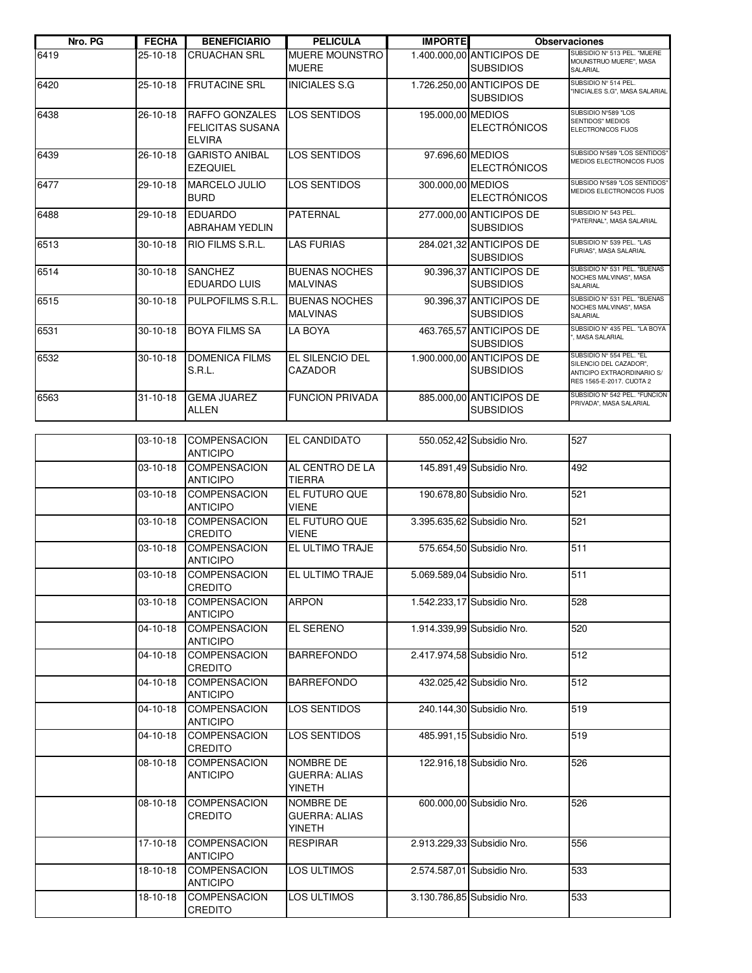| Nro. PG | <b>FECHA</b>   | <b>BENEFICIARIO</b>                                               | <b>PELICULA</b>                                    | <b>IMPORTE</b>    |                                               | <b>Observaciones</b>                                                                                         |
|---------|----------------|-------------------------------------------------------------------|----------------------------------------------------|-------------------|-----------------------------------------------|--------------------------------------------------------------------------------------------------------------|
| 6419    | 25-10-18       | <b>CRUACHAN SRL</b>                                               | MUERE MOUNSTRO<br><b>MUERE</b>                     |                   | 1.400.000,00 ANTICIPOS DE<br><b>SUBSIDIOS</b> | SUBSIDIO Nº 513 PEL. "MUERE<br>MOUNSTRUO MUERE", MASA<br>SALARIAL                                            |
| 6420    | 25-10-18       | <b>FRUTACINE SRL</b>                                              | <b>INICIALES S.G</b>                               |                   | 1.726.250,00 ANTICIPOS DE<br><b>SUBSIDIOS</b> | SUBSIDIO Nº 514 PEL.<br>"INICIALES S.G", MASA SALARIAL                                                       |
| 6438    | 26-10-18       | <b>RAFFO GONZALES</b><br><b>FELICITAS SUSANA</b><br><b>ELVIRA</b> | <b>LOS SENTIDOS</b>                                | 195.000,00 MEDIOS | <b>ELECTRÓNICOS</b>                           | SUBSIDIO Nº589 "LOS<br>SENTIDOS" MEDIOS<br>ELECTRONICOS FIJOS                                                |
| 6439    | 26-10-18       | <b>GARISTO ANIBAL</b><br><b>EZEQUIEL</b>                          | <b>LOS SENTIDOS</b>                                | 97.696,60 MEDIOS  | <b>ELECTRÓNICOS</b>                           | SUBSIDO Nº589 "LOS SENTIDOS"<br>MEDIOS ELECTRONICOS FIJOS                                                    |
| 6477    | 29-10-18       | <b>MARCELO JULIO</b><br><b>BURD</b>                               | <b>LOS SENTIDOS</b>                                | 300.000,00 MEDIOS | <b>ELECTRÓNICOS</b>                           | SUBSIDO Nº589 "LOS SENTIDOS"<br>MEDIOS ELECTRONICOS FIJOS                                                    |
| 6488    | 29-10-18       | <b>EDUARDO</b><br><b>ABRAHAM YEDLIN</b>                           | <b>PATERNAL</b>                                    |                   | 277.000,00 ANTICIPOS DE<br><b>SUBSIDIOS</b>   | SUBSIDIO Nº 543 PEL.<br>"PATERNAL", MASA SALARIAL                                                            |
| 6513    | $30 - 10 - 18$ | RIO FILMS S.R.L.                                                  | <b>LAS FURIAS</b>                                  |                   | 284.021,32 ANTICIPOS DE<br><b>SUBSIDIOS</b>   | SUBSIDIO Nº 539 PEL. "LAS<br>FURIAS", MASA SALARIAL                                                          |
| 6514    | $30 - 10 - 18$ | <b>SANCHEZ</b><br><b>EDUARDO LUIS</b>                             | <b>BUENAS NOCHES</b><br><b>MALVINAS</b>            |                   | 90.396,37 ANTICIPOS DE<br><b>SUBSIDIOS</b>    | SUBSIDIO Nº 531 PEL. "BUENAS<br>NOCHES MALVINAS", MASA<br>SALARIAL                                           |
| 6515    | $30 - 10 - 18$ | PULPOFILMS S.R.L.                                                 | <b>BUENAS NOCHES</b><br><b>MALVINAS</b>            |                   | 90.396,37 ANTICIPOS DE<br><b>SUBSIDIOS</b>    | SUBSIDIO Nº 531 PEL. "BUENAS<br>NOCHES MALVINAS", MASA<br>SALARIAL                                           |
| 6531    | $30 - 10 - 18$ | <b>BOYA FILMS SA</b>                                              | LA BOYA                                            |                   | 463.765.57 ANTICIPOS DE<br><b>SUBSIDIOS</b>   | SUBSIDIO Nº 435 PEL. "LA BOYA<br>, MASA SALARIAL                                                             |
| 6532    | $30 - 10 - 18$ | <b>DOMENICA FILMS</b><br>S.R.L.                                   | EL SILENCIO DEL<br>CAZADOR                         |                   | 1.900.000,00 ANTICIPOS DE<br><b>SUBSIDIOS</b> | SUBSIDIO Nº 554 PEL. "EL<br>SILENCIO DEL CAZADOR",<br>ANTICIPO EXTRAORDINARIO S/<br>RES 1565-E-2017. CUOTA 2 |
| 6563    | $31 - 10 - 18$ | <b>GEMA JUAREZ</b><br>ALLEN                                       | <b>FUNCION PRIVADA</b>                             |                   | 885.000,00 ANTICIPOS DE<br><b>SUBSIDIOS</b>   | SUBSIDIO Nº 542 PEL. "FUNCION<br>PRIVADA", MASA SALARIAL                                                     |
|         |                |                                                                   |                                                    |                   |                                               |                                                                                                              |
|         | 03-10-18       | <b>COMPENSACION</b><br><b>ANTICIPO</b>                            | <b>EL CANDIDATO</b>                                |                   | 550.052,42 Subsidio Nro.                      | 527                                                                                                          |
|         | 03-10-18       | <b>COMPENSACION</b><br><b>ANTICIPO</b>                            | AL CENTRO DE LA<br><b>TIERRA</b>                   |                   | 145.891,49 Subsidio Nro.                      | 492                                                                                                          |
|         | 03-10-18       | <b>COMPENSACION</b><br><b>ANTICIPO</b>                            | EL FUTURO QUE<br><b>VIENE</b>                      |                   | 190.678,80 Subsidio Nro.                      | 521                                                                                                          |
|         | 03-10-18       | <b>COMPENSACION</b><br>CREDITO                                    | EL FUTURO QUE<br><b>VIENE</b>                      |                   | 3.395.635,62 Subsidio Nro.                    | 521                                                                                                          |
|         | 03-10-18       | <b>COMPENSACION</b><br><b>ANTICIPO</b>                            | EL ULTIMO TRAJE                                    |                   | 575.654,50 Subsidio Nro.                      | 511                                                                                                          |
|         | 03-10-18       | <b>COMPENSACION</b><br>CREDITO                                    | EL ULTIMO TRAJE                                    |                   | 5.069.589,04 Subsidio Nro.                    | 511                                                                                                          |
|         | 03-10-18       | <b>COMPENSACION</b><br><b>ANTICIPO</b>                            | <b>ARPON</b>                                       |                   | 1.542.233,17 Subsidio Nro.                    | 528                                                                                                          |
|         | 04-10-18       | <b>COMPENSACION</b><br><b>ANTICIPO</b>                            | EL SERENO                                          |                   | 1.914.339,99 Subsidio Nro.                    | 520                                                                                                          |
|         | 04-10-18       | <b>COMPENSACION</b><br>CREDITO                                    | <b>BARREFONDO</b>                                  |                   | 2.417.974,58 Subsidio Nro.                    | 512                                                                                                          |
|         | 04-10-18       | <b>COMPENSACION</b><br><b>ANTICIPO</b>                            | <b>BARREFONDO</b>                                  |                   | 432.025,42 Subsidio Nro.                      | 512                                                                                                          |
|         | 04-10-18       | <b>COMPENSACION</b><br><b>ANTICIPO</b>                            | LOS SENTIDOS                                       |                   | 240.144,30 Subsidio Nro.                      | 519                                                                                                          |
|         | 04-10-18       | <b>COMPENSACION</b><br><b>CREDITO</b>                             | LOS SENTIDOS                                       |                   | 485.991,15 Subsidio Nro.                      | 519                                                                                                          |
|         | 08-10-18       | <b>COMPENSACION</b><br><b>ANTICIPO</b>                            | NOMBRE DE<br><b>GUERRA: ALIAS</b><br><b>YINETH</b> |                   | 122.916,18 Subsidio Nro.                      | 526                                                                                                          |
|         | 08-10-18       | <b>COMPENSACION</b><br>CREDITO                                    | NOMBRE DE<br><b>GUERRA: ALIAS</b><br><b>YINETH</b> |                   | 600.000,00 Subsidio Nro.                      | 526                                                                                                          |
|         | 17-10-18       | <b>COMPENSACION</b><br><b>ANTICIPO</b>                            | <b>RESPIRAR</b>                                    |                   | 2.913.229,33 Subsidio Nro.                    | 556                                                                                                          |
|         | 18-10-18       | <b>COMPENSACION</b><br><b>ANTICIPO</b>                            | LOS ULTIMOS                                        |                   | 2.574.587,01 Subsidio Nro.                    | 533                                                                                                          |
|         | 18-10-18       | <b>COMPENSACION</b><br>CREDITO                                    | LOS ULTIMOS                                        |                   | 3.130.786,85 Subsidio Nro.                    | 533                                                                                                          |